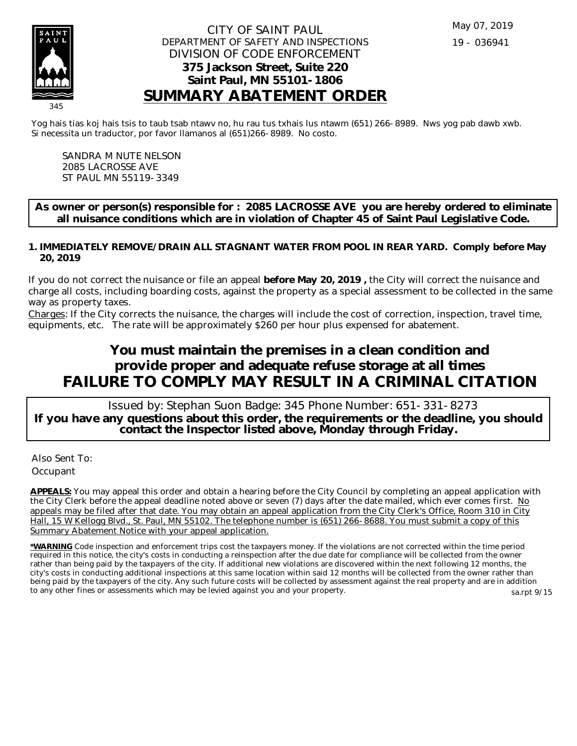

## CITY OF SAINT PAUL DEPARTMENT OF SAFETY AND INSPECTIONS DIVISION OF CODE ENFORCEMENT **375 Jackson Street, Suite 220 Saint Paul, MN 55101-1806 SUMMARY ABATEMENT ORDER**

Yog hais tias koj hais tsis to taub tsab ntawv no, hu rau tus txhais lus ntawm (651) 266-8989. Nws yog pab dawb xwb. Si necessita un traductor, por favor llamanos al (651)266-8989. No costo.

SANDRA M NUTE NELSON 2085 LACROSSE AVE ST PAUL MN 55119-3349

**As owner or person(s) responsible for : 2085 LACROSSE AVE you are hereby ordered to eliminate all nuisance conditions which are in violation of Chapter 45 of Saint Paul Legislative Code.**

**IMMEDIATELY REMOVE/DRAIN ALL STAGNANT WATER FROM POOL IN REAR YARD. Comply before May 1. 20, 2019**

If you do not correct the nuisance or file an appeal **before May 20, 2019 ,** the City will correct the nuisance and charge all costs, including boarding costs, against the property as a special assessment to be collected in the same way as property taxes.

Charges: If the City corrects the nuisance, the charges will include the cost of correction, inspection, travel time, equipments, etc. The rate will be approximately \$260 per hour plus expensed for abatement.

## **You must maintain the premises in a clean condition and provide proper and adequate refuse storage at all times FAILURE TO COMPLY MAY RESULT IN A CRIMINAL CITATION**

 Issued by: Stephan Suon Badge: 345 Phone Number: 651-331-8273 **If you have any questions about this order, the requirements or the deadline, you should contact the Inspector listed above, Monday through Friday.**

Also Sent To: **Occupant** 

**APPEALS:** You may appeal this order and obtain a hearing before the City Council by completing an appeal application with the City Clerk before the appeal deadline noted above or seven  $(7)$  days after the date mailed, which ever comes first. No appeals may be filed after that date. You may obtain an appeal application from the City Clerk's Office, Room 310 in City Hall, 15 W Kellogg Blvd., St. Paul, MN 55102. The telephone number is (651) 266-8688. You must submit a copy of this Summary Abatement Notice with your appeal application.

**\*WARNING** Code inspection and enforcement trips cost the taxpayers money. If the violations are not corrected within the time period required in this notice, the city's costs in conducting a reinspection after the due date for compliance will be collected from the owner rather than being paid by the taxpayers of the city. If additional new violations are discovered within the next following 12 months, the city's costs in conducting additional inspections at this same location within said 12 months will be collected from the owner rather than being paid by the taxpayers of the city. Any such future costs will be collected by assessment against the real property and are in addition to any other fines or assessments which may be levied against you and your property. sa.rpt 9/15